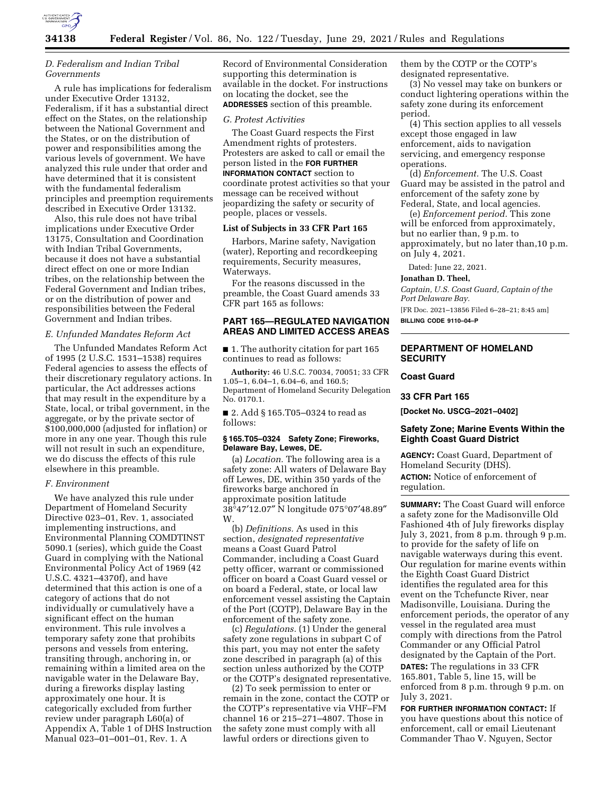

## *D. Federalism and Indian Tribal Governments*

A rule has implications for federalism under Executive Order 13132, Federalism, if it has a substantial direct effect on the States, on the relationship between the National Government and the States, or on the distribution of power and responsibilities among the various levels of government. We have analyzed this rule under that order and have determined that it is consistent with the fundamental federalism principles and preemption requirements described in Executive Order 13132.

Also, this rule does not have tribal implications under Executive Order 13175, Consultation and Coordination with Indian Tribal Governments, because it does not have a substantial direct effect on one or more Indian tribes, on the relationship between the Federal Government and Indian tribes, or on the distribution of power and responsibilities between the Federal Government and Indian tribes.

### *E. Unfunded Mandates Reform Act*

The Unfunded Mandates Reform Act of 1995 (2 U.S.C. 1531–1538) requires Federal agencies to assess the effects of their discretionary regulatory actions. In particular, the Act addresses actions that may result in the expenditure by a State, local, or tribal government, in the aggregate, or by the private sector of \$100,000,000 (adjusted for inflation) or more in any one year. Though this rule will not result in such an expenditure, we do discuss the effects of this rule elsewhere in this preamble.

#### *F. Environment*

We have analyzed this rule under Department of Homeland Security Directive 023–01, Rev. 1, associated implementing instructions, and Environmental Planning COMDTINST 5090.1 (series), which guide the Coast Guard in complying with the National Environmental Policy Act of 1969 (42 U.S.C. 4321–4370f), and have determined that this action is one of a category of actions that do not individually or cumulatively have a significant effect on the human environment. This rule involves a temporary safety zone that prohibits persons and vessels from entering, transiting through, anchoring in, or remaining within a limited area on the navigable water in the Delaware Bay, during a fireworks display lasting approximately one hour. It is categorically excluded from further review under paragraph L60(a) of Appendix A, Table 1 of DHS Instruction Manual 023–01–001–01, Rev. 1. A

Record of Environmental Consideration supporting this determination is available in the docket. For instructions on locating the docket, see the **ADDRESSES** section of this preamble.

#### *G. Protest Activities*

The Coast Guard respects the First Amendment rights of protesters. Protesters are asked to call or email the person listed in the **FOR FURTHER INFORMATION CONTACT** section to coordinate protest activities so that your message can be received without jeopardizing the safety or security of people, places or vessels.

### **List of Subjects in 33 CFR Part 165**

Harbors, Marine safety, Navigation (water), Reporting and recordkeeping requirements, Security measures, Waterways.

For the reasons discussed in the preamble, the Coast Guard amends 33 CFR part 165 as follows:

## **PART 165—REGULATED NAVIGATION AREAS AND LIMITED ACCESS AREAS**

■ 1. The authority citation for part 165 continues to read as follows:

**Authority:** 46 U.S.C. 70034, 70051; 33 CFR 1.05–1, 6.04–1, 6.04–6, and 160.5; Department of Homeland Security Delegation No. 0170.1.

■ 2. Add § 165.T05-0324 to read as follows:

### **§ 165.T05–0324 Safety Zone; Fireworks, Delaware Bay, Lewes, DE.**

(a) *Location.* The following area is a safety zone: All waters of Delaware Bay off Lewes, DE, within 350 yards of the fireworks barge anchored in approximate position latitude 38°47′12.07″ N longitude 075°07′48.89″ W.

(b) *Definitions.* As used in this section, *designated representative*  means a Coast Guard Patrol Commander, including a Coast Guard petty officer, warrant or commissioned officer on board a Coast Guard vessel or on board a Federal, state, or local law enforcement vessel assisting the Captain of the Port (COTP), Delaware Bay in the enforcement of the safety zone.

(c) *Regulations.* (1) Under the general safety zone regulations in subpart C of this part, you may not enter the safety zone described in paragraph (a) of this section unless authorized by the COTP or the COTP's designated representative.

(2) To seek permission to enter or remain in the zone, contact the COTP or the COTP's representative via VHF–FM channel 16 or 215–271–4807. Those in the safety zone must comply with all lawful orders or directions given to

them by the COTP or the COTP's designated representative.

(3) No vessel may take on bunkers or conduct lightering operations within the safety zone during its enforcement period.

(4) This section applies to all vessels except those engaged in law enforcement, aids to navigation servicing, and emergency response operations.

(d) *Enforcement.* The U.S. Coast Guard may be assisted in the patrol and enforcement of the safety zone by Federal, State, and local agencies.

(e) *Enforcement period.* This zone will be enforced from approximately, but no earlier than, 9 p.m. to approximately, but no later than,10 p.m. on July 4, 2021.

Dated: June 22, 2021.

**Jonathan D. Theel,** 

*Captain, U.S. Coast Guard, Captain of the Port Delaware Bay.* 

[FR Doc. 2021–13856 Filed 6–28–21; 8:45 am] **BILLING CODE 9110–04–P** 

## **DEPARTMENT OF HOMELAND SECURITY**

# **Coast Guard**

**33 CFR Part 165** 

**[Docket No. USCG–2021–0402]** 

## **Safety Zone; Marine Events Within the Eighth Coast Guard District**

**AGENCY:** Coast Guard, Department of Homeland Security (DHS). **ACTION:** Notice of enforcement of

regulation.

**SUMMARY:** The Coast Guard will enforce a safety zone for the Madisonville Old Fashioned 4th of July fireworks display July 3, 2021, from 8 p.m. through 9 p.m. to provide for the safety of life on navigable waterways during this event. Our regulation for marine events within the Eighth Coast Guard District identifies the regulated area for this event on the Tchefuncte River, near Madisonville, Louisiana. During the enforcement periods, the operator of any vessel in the regulated area must comply with directions from the Patrol Commander or any Official Patrol designated by the Captain of the Port. **DATES:** The regulations in 33 CFR 165.801, Table 5, line 15, will be enforced from 8 p.m. through 9 p.m. on July 3, 2021.

**FOR FURTHER INFORMATION CONTACT:** If you have questions about this notice of enforcement, call or email Lieutenant Commander Thao V. Nguyen, Sector